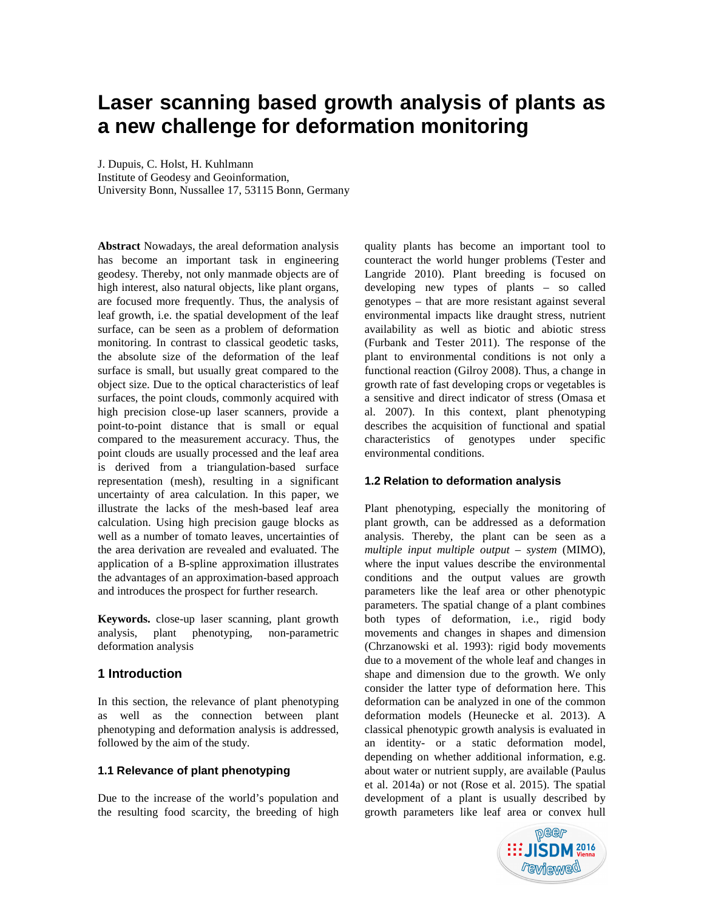# **Laser scanning based growth analysis of plants as a new challenge for deformation monitoring**

J. Dupuis, C. Holst, H. Kuhlmann

Institute of Geodesy and Geoinformation,

University Bonn, Nussallee 17, 53115 Bonn, Germany

**Abstract** Nowadays, the areal deformation analysis has become an important task in engineering geodesy. Thereby, not only manmade objects are of high interest, also natural objects, like plant organs, are focused more frequently. Thus, the analysis of leaf growth, i.e. the spatial development of the leaf surface, can be seen as a problem of deformation monitoring. In contrast to classical geodetic tasks, the absolute size of the deformation of the leaf surface is small, but usually great compared to the object size. Due to the optical characteristics of leaf surfaces, the point clouds, commonly acquired with high precision close-up laser scanners, provide a point-to-point distance that is small or equal compared to the measurement accuracy. Thus, the point clouds are usually processed and the leaf area is derived from a triangulation-based surface representation (mesh), resulting in a significant uncertainty of area calculation. In this paper, we illustrate the lacks of the mesh-based leaf area calculation. Using high precision gauge blocks as well as a number of tomato leaves, uncertainties of the area derivation are revealed and evaluated. The application of a B-spline approximation illustrates the advantages of an approximation-based approach and introduces the prospect for further research.

**Keywords.** close-up laser scanning, plant growth analysis, plant phenotyping, non-parametric deformation analysis

## **1 Introduction**

In this section, the relevance of plant phenotyping as well as the connection between plant phenotyping and deformation analysis is addressed, followed by the aim of the study.

## **1.1 Relevance of plant phenotyping**

Due to the increase of the world's population and the resulting food scarcity, the breeding of high

quality plants has become an important tool to counteract the world hunger problems (Tester and Langride 2010). Plant breeding is focused on developing new types of plants – so called genotypes – that are more resistant against several environmental impacts like draught stress, nutrient availability as well as biotic and abiotic stress (Furbank and Tester 2011). The response of the plant to environmental conditions is not only a functional reaction (Gilroy 2008). Thus, a change in growth rate of fast developing crops or vegetables is a sensitive and direct indicator of stress (Omasa et al. 2007). In this context, plant phenotyping describes the acquisition of functional and spatial characteristics of genotypes under specific environmental conditions.

## **1.2 Relation to deformation analysis**

Plant phenotyping, especially the monitoring of plant growth, can be addressed as a deformation analysis. Thereby, the plant can be seen as a *multiple input multiple output – system* (MIMO), where the input values describe the environmental conditions and the output values are growth parameters like the leaf area or other phenotypic parameters. The spatial change of a plant combines both types of deformation, i.e., rigid body movements and changes in shapes and dimension (Chrzanowski et al. 1993): rigid body movements due to a movement of the whole leaf and changes in shape and dimension due to the growth. We only consider the latter type of deformation here. This deformation can be analyzed in one of the common deformation models (Heunecke et al. 2013). A classical phenotypic growth analysis is evaluated in an identity- or a static deformation model, depending on whether additional information, e.g. about water or nutrient supply, are available (Paulus et al. 2014a) or not (Rose et al. 2015). The spatial development of a plant is usually described by growth parameters like leaf area or convex hull

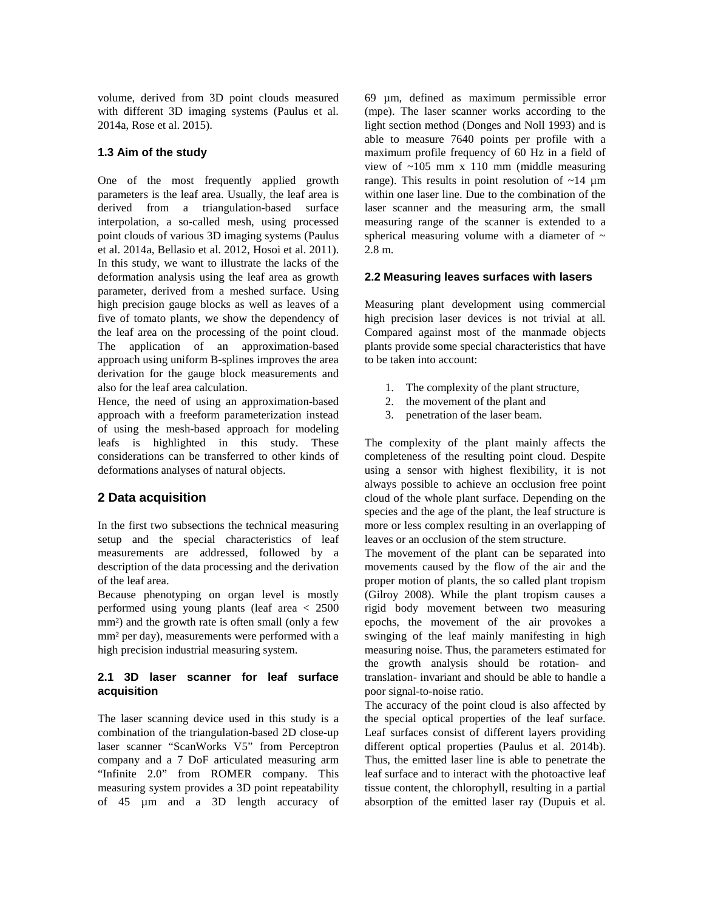volume, derived from 3D point clouds measured with different 3D imaging systems (Paulus et al. 2014a, Rose et al. 2015).

# **1.3 Aim of the study**

One of the most frequently applied growth parameters is the leaf area. Usually, the leaf area is derived from a triangulation-based surface interpolation, a so-called mesh, using processed point clouds of various 3D imaging systems (Paulus et al. 2014a, Bellasio et al. 2012, Hosoi et al. 2011). In this study, we want to illustrate the lacks of the deformation analysis using the leaf area as growth parameter, derived from a meshed surface. Using high precision gauge blocks as well as leaves of a five of tomato plants, we show the dependency of the leaf area on the processing of the point cloud. The application of an approximation-based approach using uniform B-splines improves the area derivation for the gauge block measurements and also for the leaf area calculation.

Hence, the need of using an approximation-based approach with a freeform parameterization instead of using the mesh-based approach for modeling leafs is highlighted in this study. These considerations can be transferred to other kinds of deformations analyses of natural objects.

# **2 Data acquisition**

In the first two subsections the technical measuring setup and the special characteristics of leaf measurements are addressed, followed by a description of the data processing and the derivation of the leaf area.

Because phenotyping on organ level is mostly performed using young plants (leaf area < 2500 mm<sup>2</sup>) and the growth rate is often small (only a few mm² per day), measurements were performed with a high precision industrial measuring system.

# **2.1 3D laser scanner for leaf surface acquisition**

The laser scanning device used in this study is a combination of the triangulation-based 2D close-up laser scanner "ScanWorks V5" from Perceptron company and a 7 DoF articulated measuring arm "Infinite 2.0" from ROMER company. This measuring system provides a 3D point repeatability of 45 µm and a 3D length accuracy of

69 µm, defined as maximum permissible error (mpe). The laser scanner works according to the light section method (Donges and Noll 1993) and is able to measure 7640 points per profile with a maximum profile frequency of 60 Hz in a field of view of  $\sim$ 105 mm x 110 mm (middle measuring range). This results in point resolution of  $\sim$ 14 µm within one laser line. Due to the combination of the laser scanner and the measuring arm, the small measuring range of the scanner is extended to a spherical measuring volume with a diameter of  $\sim$ 2.8 m.

# **2.2 Measuring leaves surfaces with lasers**

Measuring plant development using commercial high precision laser devices is not trivial at all. Compared against most of the manmade objects plants provide some special characteristics that have to be taken into account:

- 1. The complexity of the plant structure,
- 2. the movement of the plant and
- 3. penetration of the laser beam.

The complexity of the plant mainly affects the completeness of the resulting point cloud. Despite using a sensor with highest flexibility, it is not always possible to achieve an occlusion free point cloud of the whole plant surface. Depending on the species and the age of the plant, the leaf structure is more or less complex resulting in an overlapping of leaves or an occlusion of the stem structure.

The movement of the plant can be separated into movements caused by the flow of the air and the proper motion of plants, the so called plant tropism (Gilroy 2008). While the plant tropism causes a rigid body movement between two measuring epochs, the movement of the air provokes a swinging of the leaf mainly manifesting in high measuring noise. Thus, the parameters estimated for the growth analysis should be rotation- and translation- invariant and should be able to handle a poor signal-to-noise ratio.

The accuracy of the point cloud is also affected by the special optical properties of the leaf surface. Leaf surfaces consist of different layers providing different optical properties (Paulus et al. 2014b). Thus, the emitted laser line is able to penetrate the leaf surface and to interact with the photoactive leaf tissue content, the chlorophyll, resulting in a partial absorption of the emitted laser ray (Dupuis et al.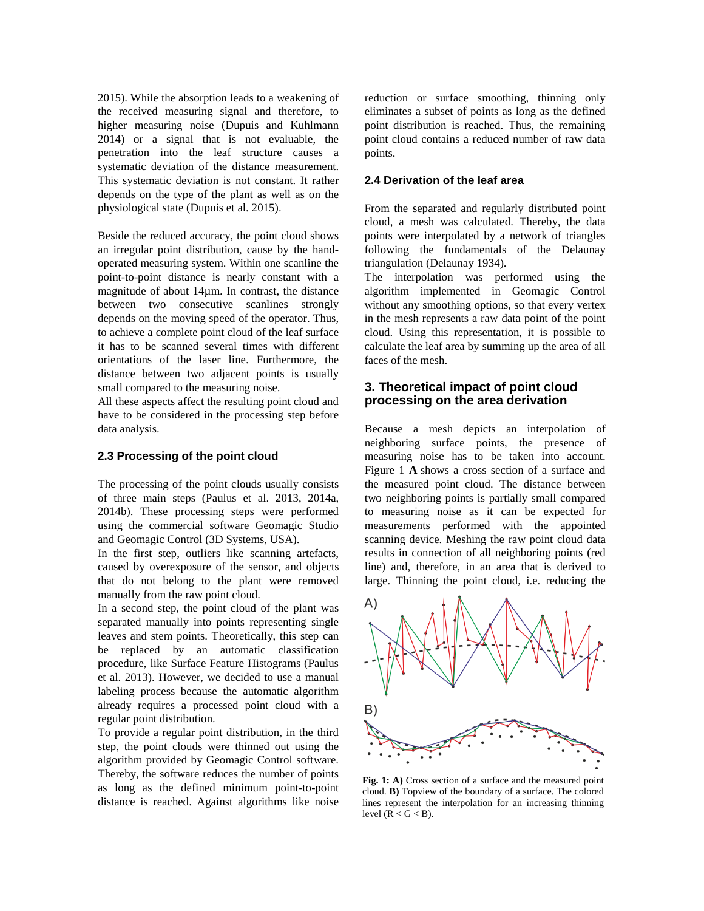2015). While the absorption leads to a weakening of the received measuring signal and therefore, to higher measuring noise (Dupuis and Kuhlmann 2014) or a signal that is not evaluable, the penetration into the leaf structure causes a systematic deviation of the distance measurement. This systematic deviation is not constant. It rather depends on the type of the plant as well as on the physiological state (Dupuis et al. 2015).

Beside the reduced accuracy, the point cloud shows an irregular point distribution, cause by the handoperated measuring system. Within one scanline the point-to-point distance is nearly constant with a magnitude of about 14µm. In contrast, the distance between two consecutive scanlines strongly depends on the moving speed of the operator. Thus, to achieve a complete point cloud of the leaf surface it has to be scanned several times with different orientations of the laser line. Furthermore, the distance between two adjacent points is usually small compared to the measuring noise.

All these aspects affect the resulting point cloud and have to be considered in the processing step before data analysis.

#### **2.3 Processing of the point cloud**

The processing of the point clouds usually consists of three main steps (Paulus et al. 2013, 2014a, 2014b). These processing steps were performed using the commercial software Geomagic Studio and Geomagic Control (3D Systems, USA).

In the first step, outliers like scanning artefacts, caused by overexposure of the sensor, and objects that do not belong to the plant were removed manually from the raw point cloud.

In a second step, the point cloud of the plant was separated manually into points representing single leaves and stem points. Theoretically, this step can be replaced by an automatic classification procedure, like Surface Feature Histograms (Paulus et al. 2013). However, we decided to use a manual labeling process because the automatic algorithm already requires a processed point cloud with a regular point distribution.

To provide a regular point distribution, in the third step, the point clouds were thinned out using the algorithm provided by Geomagic Control software. Thereby, the software reduces the number of points as long as the defined minimum point-to-point distance is reached. Against algorithms like noise reduction or surface smoothing, thinning only eliminates a subset of points as long as the defined point distribution is reached. Thus, the remaining point cloud contains a reduced number of raw data points.

#### **2.4 Derivation of the leaf area**

From the separated and regularly distributed point cloud, a mesh was calculated. Thereby, the data points were interpolated by a network of triangles following the fundamentals of the Delaunay triangulation (Delaunay 1934).

The interpolation was performed using the algorithm implemented in Geomagic Control without any smoothing options, so that every vertex in the mesh represents a raw data point of the point cloud. Using this representation, it is possible to calculate the leaf area by summing up the area of all faces of the mesh.

# **3. Theoretical impact of point cloud processing on the area derivation**

Because a mesh depicts an interpolation of neighboring surface points, the presence of measuring noise has to be taken into account. Figure 1 **A** shows a cross section of a surface and the measured point cloud. The distance between two neighboring points is partially small compared to measuring noise as it can be expected for measurements performed with the appointed scanning device. Meshing the raw point cloud data results in connection of all neighboring points (red line) and, therefore, in an area that is derived to large. Thinning the point cloud, i.e. reducing the



**Fig. 1: A)** Cross section of a surface and the measured point cloud. **B)** Topview of the boundary of a surface. The colored lines represent the interpolation for an increasing thinning level  $(R < G < B)$ .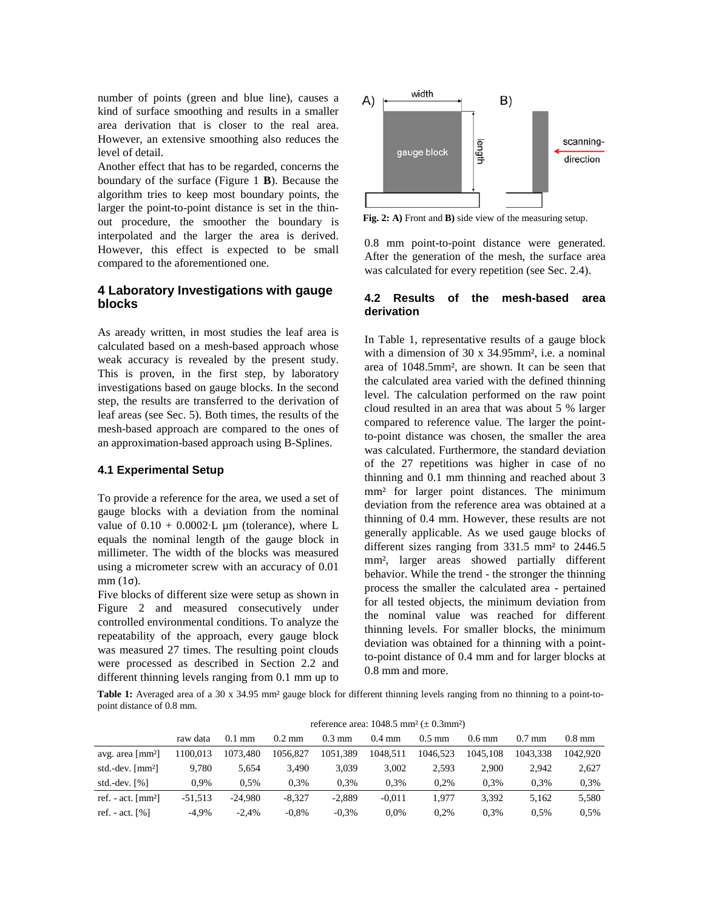number of points (green and blue line), causes a kind of surface smoothing and results in a smaller area derivation that is closer to the real area. However, an extensive smoothing also reduces the level of detail.

Another effect that has to be regarded, concerns the boundary of the surface (Figure 1 **B**). Because the algorithm tries to keep most boundary points, the larger the point-to-point distance is set in the thinout procedure, the smoother the boundary is interpolated and the larger the area is derived. However, this effect is expected to be small compared to the aforementioned one.

# **4 Laboratory Investigations with gauge blocks**

As aready written, in most studies the leaf area is calculated based on a mesh-based approach whose weak accuracy is revealed by the present study. This is proven, in the first step, by laboratory investigations based on gauge blocks. In the second step, the results are transferred to the derivation of leaf areas (see Sec. 5). Both times, the results of the mesh-based approach are compared to the ones of an approximation-based approach using B-Splines.

#### **4.1 Experimental Setup**

To provide a reference for the area, we used a set of gauge blocks with a deviation from the nominal value of  $0.10 + 0.0002$ ⋅L µm (tolerance), where L equals the nominal length of the gauge block in millimeter. The width of the blocks was measured using a micrometer screw with an accuracy of 0.01 mm (1σ).

Five blocks of different size were setup as shown in Figure 2 and measured consecutively under controlled environmental conditions. To analyze the repeatability of the approach, every gauge block was measured 27 times. The resulting point clouds were processed as described in Section 2.2 and different thinning levels ranging from 0.1 mm up to



**Fig. 2: A)** Front and **B)** side view of the measuring setup.

0.8 mm point-to-point distance were generated. After the generation of the mesh, the surface area was calculated for every repetition (see Sec. 2.4).

#### **4.2 Results of the mesh-based area derivation**

In Table 1, representative results of a gauge block with a dimension of 30 x 34.95mm<sup>2</sup>, i.e. a nominal area of 1048.5mm², are shown. It can be seen that the calculated area varied with the defined thinning level. The calculation performed on the raw point cloud resulted in an area that was about 5 % larger compared to reference value. The larger the pointto-point distance was chosen, the smaller the area was calculated. Furthermore, the standard deviation of the 27 repetitions was higher in case of no thinning and 0.1 mm thinning and reached about 3 mm² for larger point distances. The minimum deviation from the reference area was obtained at a thinning of 0.4 mm. However, these results are not generally applicable. As we used gauge blocks of different sizes ranging from 331.5 mm² to 2446.5 mm², larger areas showed partially different behavior. While the trend - the stronger the thinning process the smaller the calculated area - pertained for all tested objects, the minimum deviation from the nominal value was reached for different thinning levels. For smaller blocks, the minimum deviation was obtained for a thinning with a pointto-point distance of 0.4 mm and for larger blocks at 0.8 mm and more.

Table 1: Averaged area of a 30 x 34.95 mm<sup>2</sup> gauge block for different thinning levels ranging from no thinning to a point-topoint distance of 0.8 mm.

|                                             | TUIUIUUU alua. TUTO.J IIIIII \± 0.JIIIIII / |                  |                  |                  |                  |                  |                  |          |          |
|---------------------------------------------|---------------------------------------------|------------------|------------------|------------------|------------------|------------------|------------------|----------|----------|
|                                             | raw data                                    | $0.1 \text{ mm}$ | $0.2 \text{ mm}$ | $0.3 \text{ mm}$ | $0.4 \text{ mm}$ | $0.5 \text{ mm}$ | $0.6 \text{ mm}$ | $0.7$ mm | $0.8$ mm |
| avg. area $\lceil$ mm <sup>2</sup> $\rceil$ | 1100.013                                    | 1073.480         | 1056.827         | 1051.389         | 1048.511         | 1046.523         | 1045.108         | 1043.338 | 1042.920 |
| std.-dev. $\lceil mm^2 \rceil$              | 9.780                                       | 5.654            | 3.490            | 3.039            | 3.002            | 2.593            | 2.900            | 2.942    | 2.627    |
| std.-dev. $[%]$                             | 0.9%                                        | 0.5%             | 0.3%             | 0.3%             | 0.3%             | 0.2%             | 0.3%             | 0.3%     | 0.3%     |
| ref. - act. $\lceil mm^2 \rceil$            | $-51.513$                                   | $-24.980$        | $-8.327$         | $-2.889$         | $-0.011$         | 1.977            | 3.392            | 5.162    | 5,580    |
| ref. - act. $\lceil\% \rceil$               | $-4.9\%$                                    | $-2.4%$          | $-0.8\%$         | $-0.3%$          | $0.0\%$          | 0.2%             | 0.3%             | 0.5%     | 0.5%     |

reference area:  $1048.5$  mm<sup>2</sup> ( $\pm$  0.3mm<sup>2</sup>)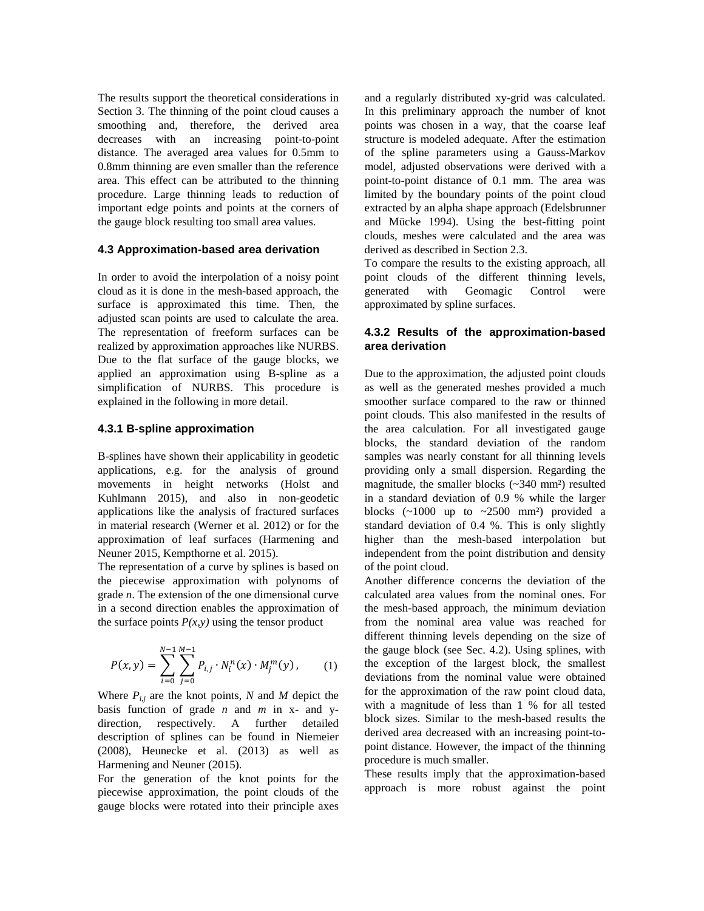The results support the theoretical considerations in Section 3. The thinning of the point cloud causes a smoothing and, therefore, the derived area decreases with an increasing point-to-point distance. The averaged area values for 0.5mm to 0.8mm thinning are even smaller than the reference area. This effect can be attributed to the thinning procedure. Large thinning leads to reduction of important edge points and points at the corners of the gauge block resulting too small area values.

#### **4.3 Approximation-based area derivation**

In order to avoid the interpolation of a noisy point cloud as it is done in the mesh-based approach, the surface is approximated this time. Then, the adjusted scan points are used to calculate the area. The representation of freeform surfaces can be realized by approximation approaches like NURBS. Due to the flat surface of the gauge blocks, we applied an approximation using B-spline as a simplification of NURBS. This procedure is explained in the following in more detail.

#### **4.3.1 B-spline approximation**

B-splines have shown their applicability in geodetic applications, e.g. for the analysis of ground movements in height networks (Holst and Kuhlmann 2015), and also in non-geodetic applications like the analysis of fractured surfaces in material research (Werner et al. 2012) or for the approximation of leaf surfaces (Harmening and Neuner 2015, Kempthorne et al. 2015).

The representation of a curve by splines is based on the piecewise approximation with polynoms of grade *n*. The extension of the one dimensional curve in a second direction enables the approximation of the surface points  $P(x, y)$  using the tensor product

$$
P(x, y) = \sum_{i=0}^{N-1} \sum_{j=0}^{M-1} P_{i,j} \cdot N_i^n(x) \cdot M_j^m(y), \qquad (1)
$$

Where  $P_{i,j}$  are the knot points, N and M depict the basis function of grade *n* and *m* in x- and ydirection, respectively. A further detailed description of splines can be found in Niemeier (2008), Heunecke et al. (2013) as well as Harmening and Neuner (2015).

For the generation of the knot points for the piecewise approximation, the point clouds of the gauge blocks were rotated into their principle axes

and a regularly distributed xy-grid was calculated. In this preliminary approach the number of knot points was chosen in a way, that the coarse leaf structure is modeled adequate. After the estimation of the spline parameters using a Gauss-Markov model, adjusted observations were derived with a point-to-point distance of 0.1 mm. The area was limited by the boundary points of the point cloud extracted by an alpha shape approach (Edelsbrunner and Mücke 1994). Using the best-fitting point clouds, meshes were calculated and the area was derived as described in Section 2.3.

To compare the results to the existing approach, all point clouds of the different thinning levels, generated with Geomagic Control were approximated by spline surfaces.

## **4.3.2 Results of the approximation-based area derivation**

Due to the approximation, the adjusted point clouds as well as the generated meshes provided a much smoother surface compared to the raw or thinned point clouds. This also manifested in the results of the area calculation. For all investigated gauge blocks, the standard deviation of the random samples was nearly constant for all thinning levels providing only a small dispersion. Regarding the magnitude, the smaller blocks (~340 mm²) resulted in a standard deviation of 0.9 % while the larger blocks  $(\sim 1000 \text{ up to } \sim 2500 \text{ mm}^2)$  provided a standard deviation of 0.4 %. This is only slightly higher than the mesh-based interpolation but independent from the point distribution and density of the point cloud.

Another difference concerns the deviation of the calculated area values from the nominal ones. For the mesh-based approach, the minimum deviation from the nominal area value was reached for different thinning levels depending on the size of the gauge block (see Sec. 4.2). Using splines, with the exception of the largest block, the smallest deviations from the nominal value were obtained for the approximation of the raw point cloud data, with a magnitude of less than 1 % for all tested block sizes. Similar to the mesh-based results the derived area decreased with an increasing point-topoint distance. However, the impact of the thinning procedure is much smaller.

These results imply that the approximation-based approach is more robust against the point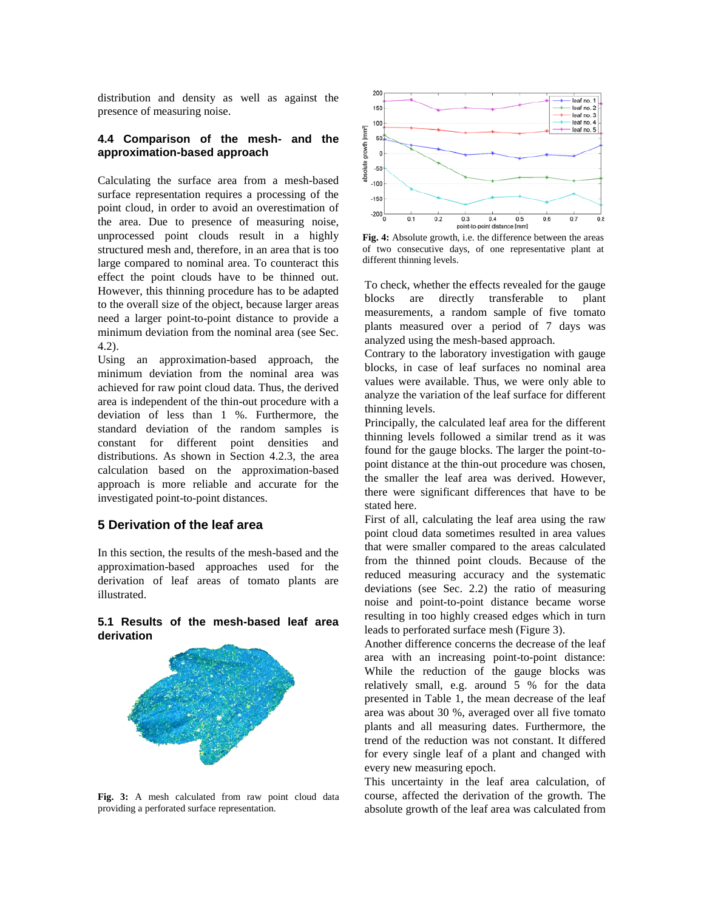distribution and density as well as against the presence of measuring noise.

# **4.4 Comparison of the mesh- and the approximation-based approach**

Calculating the surface area from a mesh-based surface representation requires a processing of the point cloud, in order to avoid an overestimation of the area. Due to presence of measuring noise, unprocessed point clouds result in a highly structured mesh and, therefore, in an area that is too large compared to nominal area. To counteract this effect the point clouds have to be thinned out. However, this thinning procedure has to be adapted to the overall size of the object, because larger areas need a larger point-to-point distance to provide a minimum deviation from the nominal area (see Sec. 4.2).

Using an approximation-based approach, the minimum deviation from the nominal area was achieved for raw point cloud data. Thus, the derived area is independent of the thin-out procedure with a deviation of less than 1 %. Furthermore, the standard deviation of the random samples is constant for different point densities and distributions. As shown in Section 4.2.3, the area calculation based on the approximation-based approach is more reliable and accurate for the investigated point-to-point distances.

# **5 Derivation of the leaf area**

In this section, the results of the mesh-based and the approximation-based approaches used for the derivation of leaf areas of tomato plants are illustrated.

#### **5.1 Results of the mesh-based leaf area derivation**



**Fig. 3:** A mesh calculated from raw point cloud data providing a perforated surface representation.



**Fig. 4:** Absolute growth, i.e. the difference between the areas of two consecutive days, of one representative plant at different thinning levels.

To check, whether the effects revealed for the gauge blocks are directly transferable to plant measurements, a random sample of five tomato plants measured over a period of 7 days was analyzed using the mesh-based approach.

Contrary to the laboratory investigation with gauge blocks, in case of leaf surfaces no nominal area values were available. Thus, we were only able to analyze the variation of the leaf surface for different thinning levels.

Principally, the calculated leaf area for the different thinning levels followed a similar trend as it was found for the gauge blocks. The larger the point-topoint distance at the thin-out procedure was chosen, the smaller the leaf area was derived. However, there were significant differences that have to be stated here.

First of all, calculating the leaf area using the raw point cloud data sometimes resulted in area values that were smaller compared to the areas calculated from the thinned point clouds. Because of the reduced measuring accuracy and the systematic deviations (see Sec. 2.2) the ratio of measuring noise and point-to-point distance became worse resulting in too highly creased edges which in turn leads to perforated surface mesh (Figure 3).

Another difference concerns the decrease of the leaf area with an increasing point-to-point distance: While the reduction of the gauge blocks was relatively small, e.g. around 5 % for the data presented in Table 1, the mean decrease of the leaf area was about 30 %, averaged over all five tomato plants and all measuring dates. Furthermore, the trend of the reduction was not constant. It differed for every single leaf of a plant and changed with every new measuring epoch.

This uncertainty in the leaf area calculation, of course, affected the derivation of the growth. The absolute growth of the leaf area was calculated from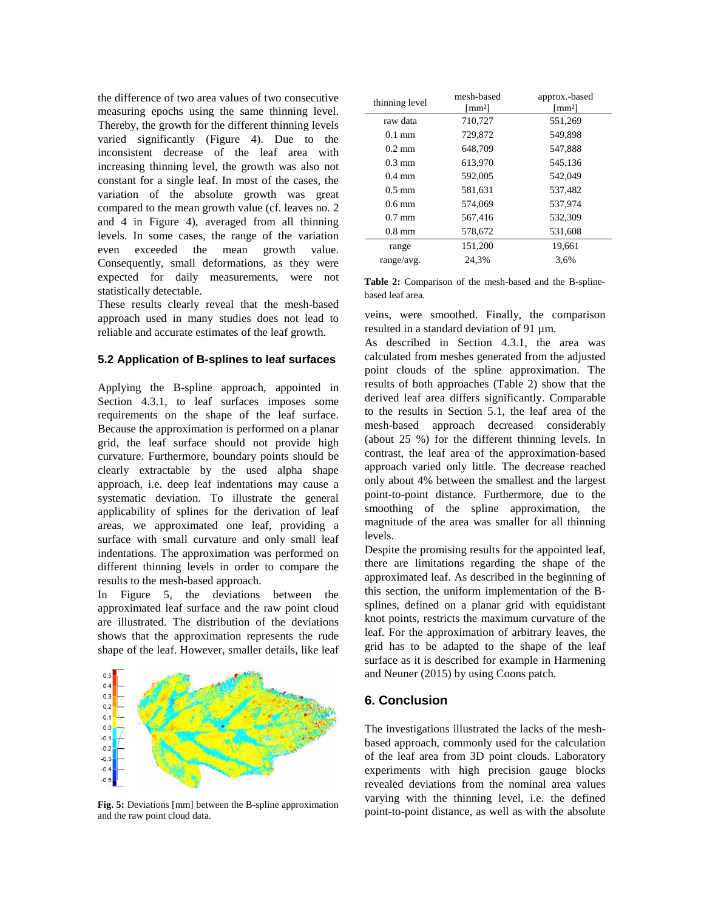the difference of two area values of two consecutive measuring epochs using the same thinning level. Thereby, the growth for the different thinning levels varied significantly (Figure 4). Due to the inconsistent decrease of the leaf area with increasing thinning level, the growth was also not constant for a single leaf. In most of the cases, the variation of the absolute growth was great compared to the mean growth value (cf. leaves no. 2 and 4 in Figure 4), averaged from all thinning levels. In some cases, the range of the variation even exceeded the mean growth value. Consequently, small deformations, as they were expected for daily measurements, were not statistically detectable.

These results clearly reveal that the mesh-based approach used in many studies does not lead to reliable and accurate estimates of the leaf growth.

#### **5.2 Application of B-splines to leaf surfaces**

Applying the B-spline approach, appointed in Section 4.3.1, to leaf surfaces imposes some requirements on the shape of the leaf surface. Because the approximation is performed on a planar grid, the leaf surface should not provide high curvature. Furthermore, boundary points should be clearly extractable by the used alpha shape approach, i.e. deep leaf indentations may cause a systematic deviation. To illustrate the general applicability of splines for the derivation of leaf areas, we approximated one leaf, providing a surface with small curvature and only small leaf indentations. The approximation was performed on different thinning levels in order to compare the results to the mesh-based approach.

In Figure 5, the deviations between the approximated leaf surface and the raw point cloud are illustrated. The distribution of the deviations shows that the approximation represents the rude shape of the leaf. However, smaller details, like leaf



**Fig. 5:** Deviations [mm] between the B-spline approximation and the raw point cloud data.

| thinning level   | mesh-based                        | approx.-based                     |  |  |
|------------------|-----------------------------------|-----------------------------------|--|--|
|                  | $\lceil$ mm <sup>2</sup> $\rceil$ | $\lceil$ mm <sup>2</sup> $\rceil$ |  |  |
| raw data         | 710,727                           | 551,269                           |  |  |
| $0.1 \text{ mm}$ | 729,872                           | 549,898                           |  |  |
| $0.2 \text{ mm}$ | 648,709                           | 547,888                           |  |  |
| $0.3 \text{ mm}$ | 613,970                           | 545,136                           |  |  |
| $0.4 \text{ mm}$ | 592,005                           | 542,049                           |  |  |
| $0.5 \text{ mm}$ | 581.631                           | 537.482                           |  |  |
| $0.6$ mm         | 574,069                           | 537.974                           |  |  |
| $0.7 \text{ mm}$ | 567.416                           | 532,309                           |  |  |
| $0.8$ mm         | 578,672                           | 531,608                           |  |  |
| range            | 151,200                           | 19.661                            |  |  |
| range/avg.       | 24.3%                             | 3.6%                              |  |  |

**Table 2:** Comparison of the mesh-based and the B-splinebased leaf area.

veins, were smoothed. Finally, the comparison resulted in a standard deviation of 91 um.

As described in Section 4.3.1, the area was calculated from meshes generated from the adjusted point clouds of the spline approximation. The results of both approaches (Table 2) show that the derived leaf area differs significantly. Comparable to the results in Section 5.1, the leaf area of the mesh-based approach decreased considerably (about 25 %) for the different thinning levels. In contrast, the leaf area of the approximation-based approach varied only little. The decrease reached only about 4% between the smallest and the largest point-to-point distance. Furthermore, due to the smoothing of the spline approximation, the magnitude of the area was smaller for all thinning levels.

Despite the promising results for the appointed leaf, there are limitations regarding the shape of the approximated leaf. As described in the beginning of this section, the uniform implementation of the Bsplines, defined on a planar grid with equidistant knot points, restricts the maximum curvature of the leaf. For the approximation of arbitrary leaves, the grid has to be adapted to the shape of the leaf surface as it is described for example in Harmening and Neuner (2015) by using Coons patch.

# **6. Conclusion**

The investigations illustrated the lacks of the meshbased approach, commonly used for the calculation of the leaf area from 3D point clouds. Laboratory experiments with high precision gauge blocks revealed deviations from the nominal area values varying with the thinning level, i.e. the defined point-to-point distance, as well as with the absolute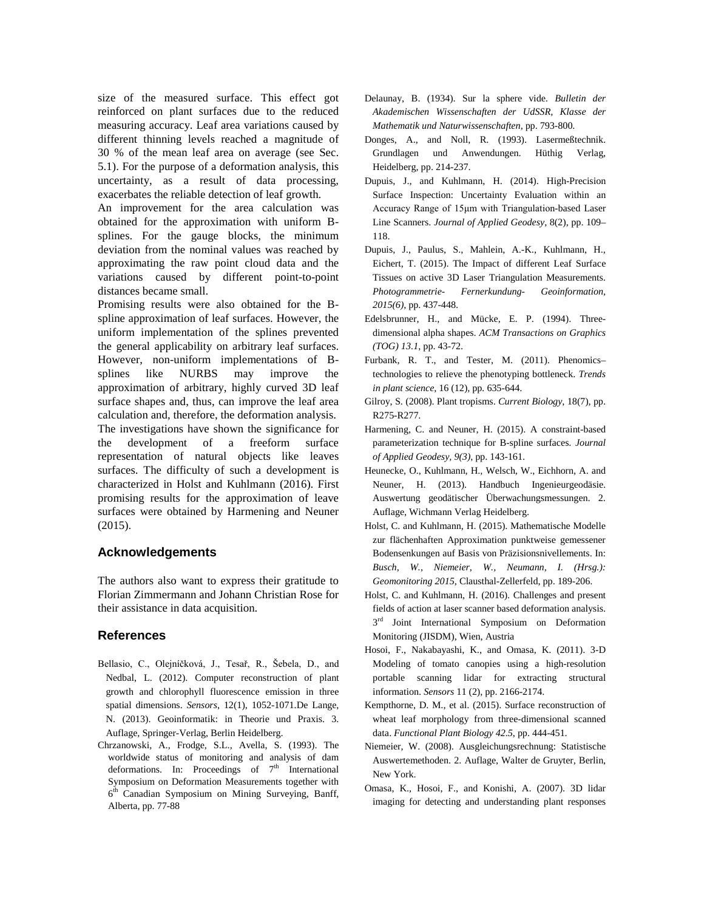size of the measured surface. This effect got reinforced on plant surfaces due to the reduced measuring accuracy. Leaf area variations caused by different thinning levels reached a magnitude of 30 % of the mean leaf area on average (see Sec. 5.1). For the purpose of a deformation analysis, this uncertainty, as a result of data processing, exacerbates the reliable detection of leaf growth.

An improvement for the area calculation was obtained for the approximation with uniform Bsplines. For the gauge blocks, the minimum deviation from the nominal values was reached by approximating the raw point cloud data and the variations caused by different point-to-point distances became small.

Promising results were also obtained for the Bspline approximation of leaf surfaces. However, the uniform implementation of the splines prevented the general applicability on arbitrary leaf surfaces. However, non-uniform implementations of Bsplines like NURBS may improve the approximation of arbitrary, highly curved 3D leaf surface shapes and, thus, can improve the leaf area calculation and, therefore, the deformation analysis. The investigations have shown the significance for the development of a freeform surface representation of natural objects like leaves surfaces. The difficulty of such a development is characterized in Holst and Kuhlmann (2016). First promising results for the approximation of leave surfaces were obtained by Harmening and Neuner (2015).

## **Acknowledgements**

The authors also want to express their gratitude to Florian Zimmermann and Johann Christian Rose for their assistance in data acquisition.

## **References**

- Bellasio, C., Olejníčková, J., Tesař, R., Šebela, D., and Nedbal, L. (2012). Computer reconstruction of plant growth and chlorophyll fluorescence emission in three spatial dimensions. *Sensors*, 12(1), 1052-1071.De Lange, N. (2013). Geoinformatik: in Theorie und Praxis. 3. Auflage, Springer-Verlag, Berlin Heidelberg.
- Chrzanowski, A., Frodge, S.L., Avella, S. (1993). The worldwide status of monitoring and analysis of dam deformations. In: Proceedings of  $7<sup>th</sup>$  International Symposium on Deformation Measurements together with 6<sup>th</sup> Canadian Symposium on Mining Surveying, Banff, Alberta, pp. 77-88
- Delaunay, B. (1934). Sur la sphere vide. *Bulletin der Akademischen Wissenschaften der UdSSR, Klasse der Mathematik und Naturwissenschaften*, pp. 793-800.
- Donges, A., and Noll, R. (1993). Lasermeßtechnik. Grundlagen und Anwendungen. Hüthig Verlag, Heidelberg, pp. 214-237.
- Dupuis, J., and Kuhlmann, H. (2014). High-Precision Surface Inspection: Uncertainty Evaluation within an Accuracy Range of 15μm with Triangulation-based Laser Line Scanners. *Journal of Applied Geodesy*, 8(2), pp. 109– 118.
- Dupuis, J., Paulus, S., Mahlein, A.-K., Kuhlmann, H., Eichert, T. (2015). The Impact of different Leaf Surface Tissues on active 3D Laser Triangulation Measurements. *Photogrammetrie- Fernerkundung- Geoinformation, 2015(6)*, pp. 437-448.
- Edelsbrunner, H., and Mücke, E. P. (1994). Threedimensional alpha shapes. *ACM Transactions on Graphics (TOG) 13.1*, pp. 43-72.
- Furbank, R. T., and Tester, M. (2011). Phenomics– technologies to relieve the phenotyping bottleneck. *Trends in plant science,* 16 (12)*,* pp*.* 635-644.
- Gilroy, S. (2008). Plant tropisms. *Current Biology*, 18(7), pp. R275-R277.
- Harmening, C. and Neuner, H. (2015). A constraint-based parameterization technique for B-spline surfaces. *Journal of Applied Geodesy, 9(3)*, pp. 143-161.
- Heunecke, O., Kuhlmann, H., Welsch, W., Eichhorn, A. and Neuner, H. (2013). Handbuch Ingenieurgeodäsie. Auswertung geodätischer Überwachungsmessungen. 2. Auflage, Wichmann Verlag Heidelberg.
- Holst, C. and Kuhlmann, H. (2015). Mathematische Modelle zur flächenhaften Approximation punktweise gemessener Bodensenkungen auf Basis von Präzisionsnivellements. In: *Busch, W., Niemeier, W., Neumann, I. (Hrsg.): Geomonitoring 2015*, Clausthal-Zellerfeld, pp. 189-206.
- Holst, C. and Kuhlmann, H. (2016). Challenges and present fields of action at laser scanner based deformation analysis.  $3<sup>rd</sup>$  Joint International Symposium on Deformation Monitoring (JISDM), Wien, Austria
- Hosoi, F., Nakabayashi, K., and Omasa, K. (2011). 3-D Modeling of tomato canopies using a high-resolution portable scanning lidar for extracting structural information. *Sensors* 11 (2), pp. 2166-2174.
- Kempthorne, D. M., et al. (2015). Surface reconstruction of wheat leaf morphology from three-dimensional scanned data. *Functional Plant Biology 42.5*, pp. 444-451.
- Niemeier, W. (2008). Ausgleichungsrechnung: Statistische Auswertemethoden. 2. Auflage, Walter de Gruyter, Berlin, New York.
- Omasa, K., Hosoi, F., and Konishi, A. (2007). 3D lidar imaging for detecting and understanding plant responses